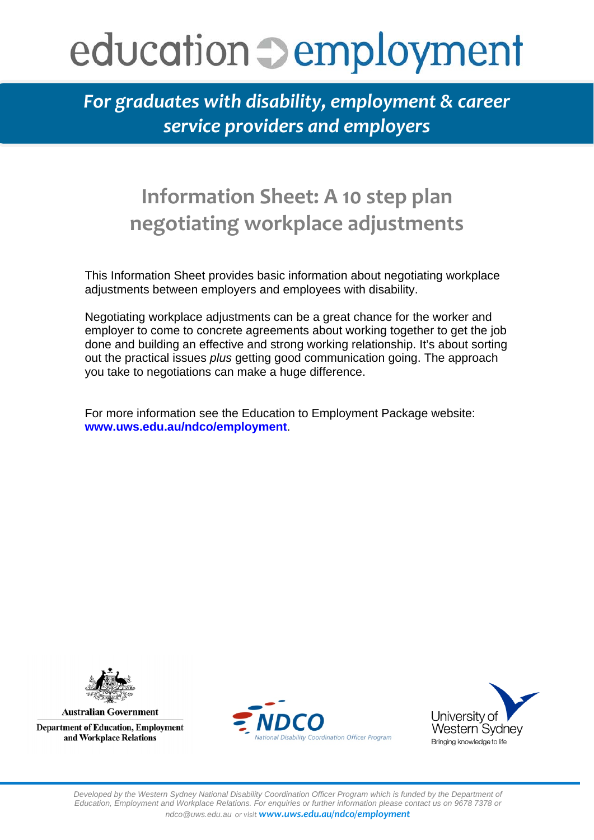## education **Demployment**

*For graduates with disability, employment & career service providers and employers* 

## **Information Sheet: A 10 step plan negotiating workplace adjustments**

This Information Sheet provides basic information about negotiating workplace adjustments between employers and employees with disability.

Negotiating workplace adjustments can be a great chance for the worker and employer to come to concrete agreements about working together to get the job done and building an effective and strong working relationship. It's about sorting out the practical issues *plus* getting good communication going. The approach you take to negotiations can make a huge difference.

For more information see the Education to Employment Package website: **www.uws.edu.au/ndco/employment**.



**Australian Government Department of Education, Employment** and Workplace Relations



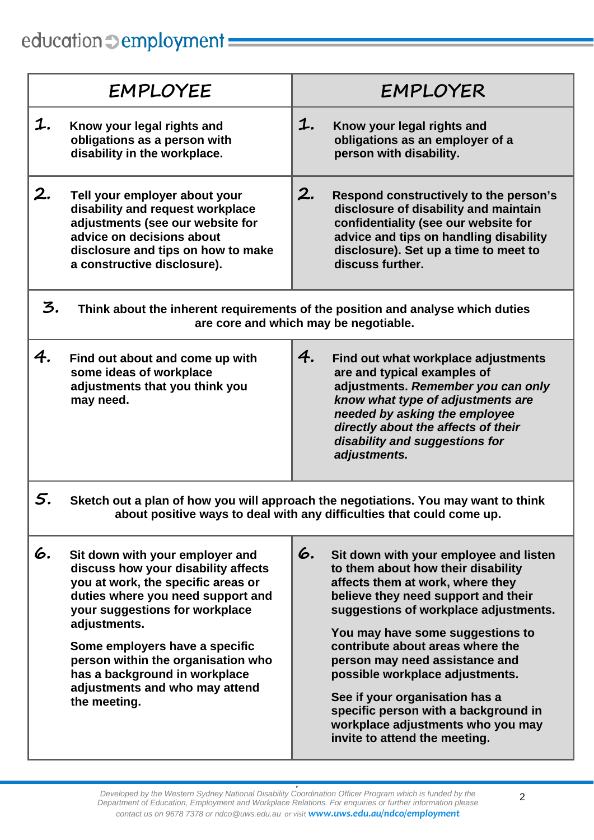## education  $\supset$  employment

|                                                                                                                                                                   | EMPLOYEE                                                                                                                                                                                                                                                                                                                                                       | EMPLOYER                                                                                                                                                                                                                                                                                                                                                                                                                                                                                            |  |
|-------------------------------------------------------------------------------------------------------------------------------------------------------------------|----------------------------------------------------------------------------------------------------------------------------------------------------------------------------------------------------------------------------------------------------------------------------------------------------------------------------------------------------------------|-----------------------------------------------------------------------------------------------------------------------------------------------------------------------------------------------------------------------------------------------------------------------------------------------------------------------------------------------------------------------------------------------------------------------------------------------------------------------------------------------------|--|
| 1.                                                                                                                                                                | Know your legal rights and<br>obligations as a person with<br>disability in the workplace.                                                                                                                                                                                                                                                                     | 1.<br>Know your legal rights and<br>obligations as an employer of a<br>person with disability.                                                                                                                                                                                                                                                                                                                                                                                                      |  |
| 2.                                                                                                                                                                | Tell your employer about your<br>disability and request workplace<br>adjustments (see our website for<br>advice on decisions about<br>disclosure and tips on how to make<br>a constructive disclosure).                                                                                                                                                        | 2.<br>Respond constructively to the person's<br>disclosure of disability and maintain<br>confidentiality (see our website for<br>advice and tips on handling disability<br>disclosure). Set up a time to meet to<br>discuss further.                                                                                                                                                                                                                                                                |  |
| 3.                                                                                                                                                                | Think about the inherent requirements of the position and analyse which duties<br>are core and which may be negotiable.                                                                                                                                                                                                                                        |                                                                                                                                                                                                                                                                                                                                                                                                                                                                                                     |  |
| 4.                                                                                                                                                                | Find out about and come up with<br>some ideas of workplace<br>adjustments that you think you<br>may need.                                                                                                                                                                                                                                                      | 4.<br>Find out what workplace adjustments<br>are and typical examples of<br>adjustments. Remember you can only<br>know what type of adjustments are<br>needed by asking the employee<br>directly about the affects of their<br>disability and suggestions for<br>adjustments.                                                                                                                                                                                                                       |  |
| 5.<br>Sketch out a plan of how you will approach the negotiations. You may want to think<br>about positive ways to deal with any difficulties that could come up. |                                                                                                                                                                                                                                                                                                                                                                |                                                                                                                                                                                                                                                                                                                                                                                                                                                                                                     |  |
| 6.                                                                                                                                                                | Sit down with your employer and<br>discuss how your disability affects<br>you at work, the specific areas or<br>duties where you need support and<br>your suggestions for workplace<br>adjustments.<br>Some employers have a specific<br>person within the organisation who<br>has a background in workplace<br>adjustments and who may attend<br>the meeting. | 6.<br>Sit down with your employee and listen<br>to them about how their disability<br>affects them at work, where they<br>believe they need support and their<br>suggestions of workplace adjustments.<br>You may have some suggestions to<br>contribute about areas where the<br>person may need assistance and<br>possible workplace adjustments.<br>See if your organisation has a<br>specific person with a background in<br>workplace adjustments who you may<br>invite to attend the meeting. |  |